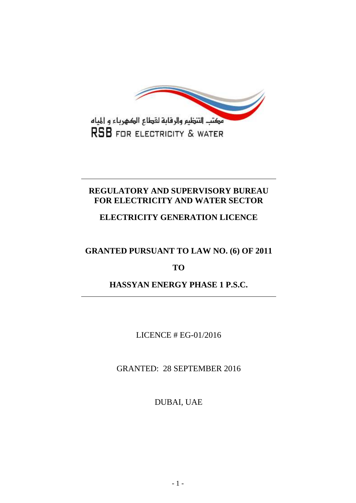

# **REGULATORY AND SUPERVISORY BUREAU FOR ELECTRICITY AND WATER SECTOR**

# **ELECTRICITY GENERATION LICENCE**

# **GRANTED PURSUANT TO LAW NO. (6) OF 2011**

## **TO**

# **HASSYAN ENERGY PHASE 1 P.S.C.**

## LICENCE # EG-01/2016

## GRANTED: 28 SEPTEMBER 2016

DUBAI, UAE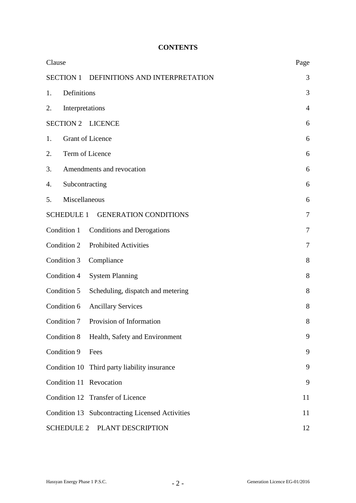## **CONTENTS**

| Clause                                             | Page           |  |  |
|----------------------------------------------------|----------------|--|--|
| <b>SECTION 1</b><br>DEFINITIONS AND INTERPRETATION | 3              |  |  |
| Definitions<br>1.                                  | 3              |  |  |
| Interpretations<br>2.                              | $\overline{4}$ |  |  |
| <b>SECTION 2</b><br><b>LICENCE</b>                 | 6              |  |  |
| <b>Grant of Licence</b><br>1.                      | 6              |  |  |
| Term of Licence<br>2.                              | 6              |  |  |
| Amendments and revocation<br>3.                    | 6              |  |  |
| Subcontracting<br>4.                               | 6              |  |  |
| Miscellaneous<br>5.                                | 6              |  |  |
| <b>GENERATION CONDITIONS</b><br><b>SCHEDULE 1</b>  | 7              |  |  |
| Condition 1<br><b>Conditions and Derogations</b>   | $\tau$         |  |  |
| Condition 2<br><b>Prohibited Activities</b>        | 7              |  |  |
| Condition 3<br>Compliance                          | 8              |  |  |
| Condition 4<br><b>System Planning</b>              | 8              |  |  |
| Condition 5<br>Scheduling, dispatch and metering   | 8              |  |  |
| Condition 6<br><b>Ancillary Services</b>           | 8              |  |  |
| Condition 7<br>Provision of Information            | 8              |  |  |
| Condition 8<br>Health, Safety and Environment      | 9              |  |  |
| Condition 9<br>Fees                                | 9              |  |  |
| Condition 10<br>Third party liability insurance    | 9              |  |  |
| Condition 11 Revocation                            | 9              |  |  |
| Condition 12 Transfer of Licence                   | 11             |  |  |
| Condition 13 Subcontracting Licensed Activities    | 11             |  |  |
| <b>SCHEDULE 2</b><br>PLANT DESCRIPTION<br>12       |                |  |  |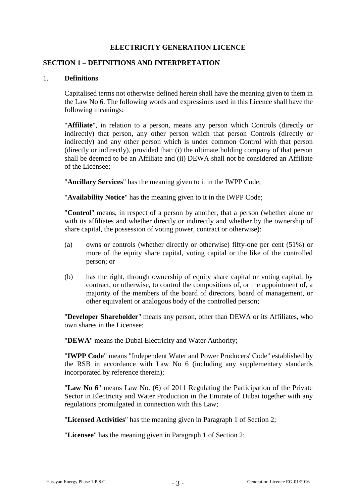#### **ELECTRICITY GENERATION LICENCE**

#### **SECTION 1 – DEFINITIONS AND INTERPRETATION**

#### 1. **Definitions**

Capitalised terms not otherwise defined herein shall have the meaning given to them in the Law No 6. The following words and expressions used in this Licence shall have the following meanings:

"**Affiliate**", in relation to a person, means any person which Controls (directly or indirectly) that person, any other person which that person Controls (directly or indirectly) and any other person which is under common Control with that person (directly or indirectly), provided that: (i) the ultimate holding company of that person shall be deemed to be an Affiliate and (ii) DEWA shall not be considered an Affiliate of the Licensee;

"**Ancillary Services**" has the meaning given to it in the IWPP Code;

"**Availability Notice**" has the meaning given to it in the IWPP Code;

"**Control**" means, in respect of a person by another, that a person (whether alone or with its affiliates and whether directly or indirectly and whether by the ownership of share capital, the possession of voting power, contract or otherwise):

- (a) owns or controls (whether directly or otherwise) fifty-one per cent (51%) or more of the equity share capital, voting capital or the like of the controlled person; or
- (b) has the right, through ownership of equity share capital or voting capital, by contract, or otherwise, to control the compositions of, or the appointment of, a majority of the members of the board of directors, board of management, or other equivalent or analogous body of the controlled person;

"**Developer Shareholder**" means any person, other than DEWA or its Affiliates, who own shares in the Licensee;

"**DEWA**" means the Dubai Electricity and Water Authority;

"**IWPP Code**" means "Independent Water and Power Producers' Code" established by the RSB in accordance with Law No 6 (including any supplementary standards incorporated by reference therein);

"**Law No 6**" means Law No. (6) of 2011 Regulating the Participation of the Private Sector in Electricity and Water Production in the Emirate of Dubai together with any regulations promulgated in connection with this Law;

"**Licensed Activities**" has the meaning given in Paragraph 1 of Section 2;

"**Licensee**" has the meaning given in Paragraph 1 of Section 2;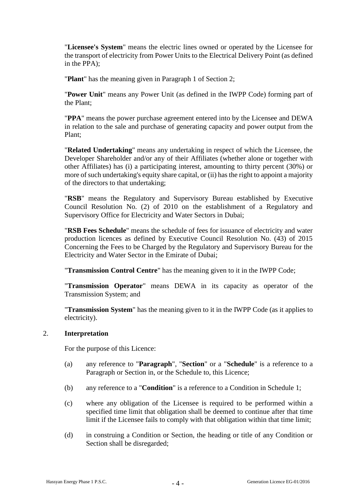"**Licensee's System**" means the electric lines owned or operated by the Licensee for the transport of electricity from Power Units to the Electrical Delivery Point (as defined in the PPA);

"**Plant**" has the meaning given in Paragraph 1 of Section 2;

"**Power Unit**" means any Power Unit (as defined in the IWPP Code) forming part of the Plant;

"**PPA**" means the power purchase agreement entered into by the Licensee and DEWA in relation to the sale and purchase of generating capacity and power output from the Plant;

"**Related Undertaking**" means any undertaking in respect of which the Licensee, the Developer Shareholder and/or any of their Affiliates (whether alone or together with other Affiliates) has (i) a participating interest, amounting to thirty percent (30%) or more of such undertaking's equity share capital, or (ii) has the right to appoint a majority of the directors to that undertaking;

"**RSB**" means the Regulatory and Supervisory Bureau established by Executive Council Resolution No. (2) of 2010 on the establishment of a Regulatory and Supervisory Office for Electricity and Water Sectors in Dubai;

"**RSB Fees Schedule**" means the schedule of fees for issuance of electricity and water production licences as defined by Executive Council Resolution No. (43) of 2015 Concerning the Fees to be Charged by the Regulatory and Supervisory Bureau for the Electricity and Water Sector in the Emirate of Dubai;

"**Transmission Control Centre**" has the meaning given to it in the IWPP Code;

"**Transmission Operator**" means DEWA in its capacity as operator of the Transmission System; and

"**Transmission System**" has the meaning given to it in the IWPP Code (as it applies to electricity).

#### 2. **Interpretation**

For the purpose of this Licence:

- (a) any reference to "**Paragraph**", "**Section**" or a "**Schedule**" is a reference to a Paragraph or Section in, or the Schedule to, this Licence;
- (b) any reference to a "**Condition**" is a reference to a Condition in Schedule 1;
- (c) where any obligation of the Licensee is required to be performed within a specified time limit that obligation shall be deemed to continue after that time limit if the Licensee fails to comply with that obligation within that time limit;
- (d) in construing a Condition or Section, the heading or title of any Condition or Section shall be disregarded;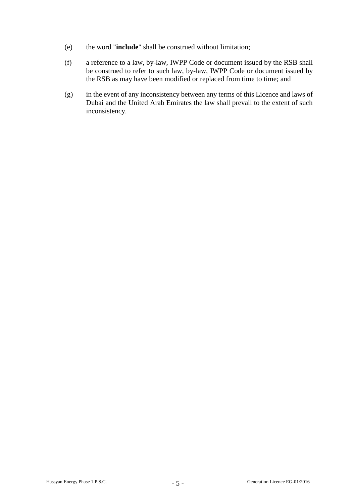- (e) the word "**include**" shall be construed without limitation;
- (f) a reference to a law, by-law, IWPP Code or document issued by the RSB shall be construed to refer to such law, by-law, IWPP Code or document issued by the RSB as may have been modified or replaced from time to time; and
- (g) in the event of any inconsistency between any terms of this Licence and laws of Dubai and the United Arab Emirates the law shall prevail to the extent of such inconsistency.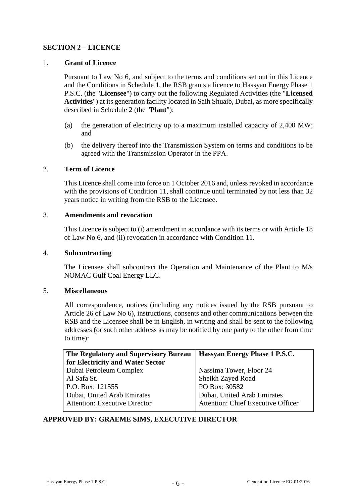## **SECTION 2 – LICENCE**

#### 1. **Grant of Licence**

Pursuant to Law No 6, and subject to the terms and conditions set out in this Licence and the Conditions in Schedule 1, the RSB grants a licence to Hassyan Energy Phase 1 P.S.C. (the "**Licensee**") to carry out the following Regulated Activities (the "**Licensed Activities**") at its generation facility located in Saih Shuaib, Dubai, as more specifically described in Schedule 2 (the "**Plant**"):

- (a) the generation of electricity up to a maximum installed capacity of 2,400 MW; and
- (b) the delivery thereof into the Transmission System on terms and conditions to be agreed with the Transmission Operator in the PPA.

#### 2. **Term of Licence**

This Licence shall come into force on 1 October 2016 and, unless revoked in accordance with the provisions of Condition 11, shall continue until terminated by not less than 32 years notice in writing from the RSB to the Licensee.

#### 3. **Amendments and revocation**

This Licence is subject to (i) amendment in accordance with its terms or with Article 18 of Law No 6, and (ii) revocation in accordance with Condition 11.

#### 4. **Subcontracting**

The Licensee shall subcontract the Operation and Maintenance of the Plant to M/s NOMAC Gulf Coal Energy LLC.

#### 5. **Miscellaneous**

All correspondence, notices (including any notices issued by the RSB pursuant to Article 26 of Law No 6), instructions, consents and other communications between the RSB and the Licensee shall be in English, in writing and shall be sent to the following addresses (or such other address as may be notified by one party to the other from time to time):

| The Regulatory and Supervisory Bureau | Hassyan Energy Phase 1 P.S.C.             |
|---------------------------------------|-------------------------------------------|
| for Electricity and Water Sector      |                                           |
| Dubai Petroleum Complex               | Nassima Tower, Floor 24                   |
| Al Safa St.                           | Sheikh Zayed Road                         |
| P.O. Box: 121555                      | PO Box: 30582                             |
| Dubai, United Arab Emirates           | Dubai, United Arab Emirates               |
| <b>Attention: Executive Director</b>  | <b>Attention: Chief Executive Officer</b> |
|                                       |                                           |

## **APPROVED BY: GRAEME SIMS, EXECUTIVE DIRECTOR**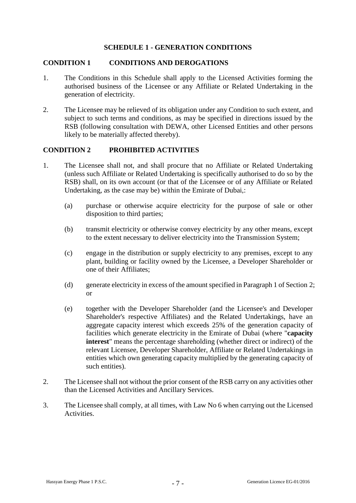#### **SCHEDULE 1 - GENERATION CONDITIONS**

#### **CONDITION 1 CONDITIONS AND DEROGATIONS**

- 1. The Conditions in this Schedule shall apply to the Licensed Activities forming the authorised business of the Licensee or any Affiliate or Related Undertaking in the generation of electricity.
- 2. The Licensee may be relieved of its obligation under any Condition to such extent, and subject to such terms and conditions, as may be specified in directions issued by the RSB (following consultation with DEWA, other Licensed Entities and other persons likely to be materially affected thereby).

#### **CONDITION 2 PROHIBITED ACTIVITIES**

- 1. The Licensee shall not, and shall procure that no Affiliate or Related Undertaking (unless such Affiliate or Related Undertaking is specifically authorised to do so by the RSB) shall, on its own account (or that of the Licensee or of any Affiliate or Related Undertaking, as the case may be) within the Emirate of Dubai,:
	- (a) purchase or otherwise acquire electricity for the purpose of sale or other disposition to third parties;
	- (b) transmit electricity or otherwise convey electricity by any other means, except to the extent necessary to deliver electricity into the Transmission System;
	- (c) engage in the distribution or supply electricity to any premises, except to any plant, building or facility owned by the Licensee, a Developer Shareholder or one of their Affiliates;
	- (d) generate electricity in excess of the amount specified in Paragraph 1 of Section 2; or
	- (e) together with the Developer Shareholder (and the Licensee's and Developer Shareholder's respective Affiliates) and the Related Undertakings, have an aggregate capacity interest which exceeds 25% of the generation capacity of facilities which generate electricity in the Emirate of Dubai (where "**capacity interest**" means the percentage shareholding (whether direct or indirect) of the relevant Licensee, Developer Shareholder, Affiliate or Related Undertakings in entities which own generating capacity multiplied by the generating capacity of such entities).
- 2. The Licensee shall not without the prior consent of the RSB carry on any activities other than the Licensed Activities and Ancillary Services.
- 3. The Licensee shall comply, at all times, with Law No 6 when carrying out the Licensed Activities.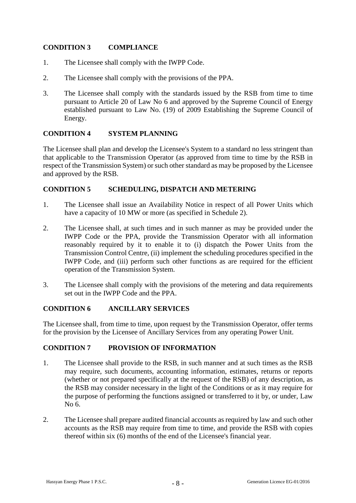## **CONDITION 3 COMPLIANCE**

- 1. The Licensee shall comply with the IWPP Code.
- 2. The Licensee shall comply with the provisions of the PPA.
- 3. The Licensee shall comply with the standards issued by the RSB from time to time pursuant to Article 20 of Law No 6 and approved by the Supreme Council of Energy established pursuant to Law No. (19) of 2009 Establishing the Supreme Council of Energy.

## **CONDITION 4 SYSTEM PLANNING**

The Licensee shall plan and develop the Licensee's System to a standard no less stringent than that applicable to the Transmission Operator (as approved from time to time by the RSB in respect of the Transmission System) or such other standard as may be proposed by the Licensee and approved by the RSB.

## **CONDITION 5 SCHEDULING, DISPATCH AND METERING**

- 1. The Licensee shall issue an Availability Notice in respect of all Power Units which have a capacity of 10 MW or more (as specified in Schedule 2).
- 2. The Licensee shall, at such times and in such manner as may be provided under the IWPP Code or the PPA, provide the Transmission Operator with all information reasonably required by it to enable it to (i) dispatch the Power Units from the Transmission Control Centre, (ii) implement the scheduling procedures specified in the IWPP Code, and (iii) perform such other functions as are required for the efficient operation of the Transmission System.
- 3. The Licensee shall comply with the provisions of the metering and data requirements set out in the IWPP Code and the PPA.

## **CONDITION 6 ANCILLARY SERVICES**

The Licensee shall, from time to time, upon request by the Transmission Operator, offer terms for the provision by the Licensee of Ancillary Services from any operating Power Unit.

## **CONDITION 7 PROVISION OF INFORMATION**

- 1. The Licensee shall provide to the RSB, in such manner and at such times as the RSB may require, such documents, accounting information, estimates, returns or reports (whether or not prepared specifically at the request of the RSB) of any description, as the RSB may consider necessary in the light of the Conditions or as it may require for the purpose of performing the functions assigned or transferred to it by, or under, Law No 6.
- 2. The Licensee shall prepare audited financial accounts as required by law and such other accounts as the RSB may require from time to time, and provide the RSB with copies thereof within six (6) months of the end of the Licensee's financial year.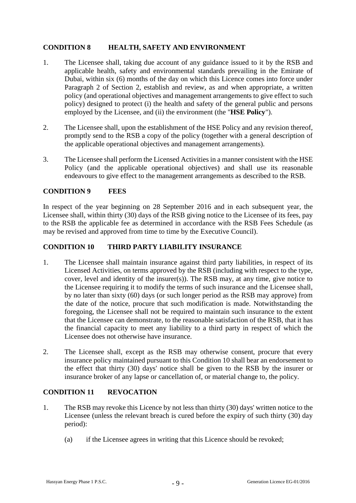## **CONDITION 8 HEALTH, SAFETY AND ENVIRONMENT**

- 1. The Licensee shall, taking due account of any guidance issued to it by the RSB and applicable health, safety and environmental standards prevailing in the Emirate of Dubai, within six (6) months of the day on which this Licence comes into force under Paragraph 2 of Section 2, establish and review, as and when appropriate, a written policy (and operational objectives and management arrangements to give effect to such policy) designed to protect (i) the health and safety of the general public and persons employed by the Licensee, and (ii) the environment (the "**HSE Policy**").
- 2. The Licensee shall, upon the establishment of the HSE Policy and any revision thereof, promptly send to the RSB a copy of the policy (together with a general description of the applicable operational objectives and management arrangements).
- 3. The Licensee shall perform the Licensed Activities in a manner consistent with the HSE Policy (and the applicable operational objectives) and shall use its reasonable endeavours to give effect to the management arrangements as described to the RSB.

#### **CONDITION 9 FEES**

In respect of the year beginning on 28 September 2016 and in each subsequent year, the Licensee shall, within thirty (30) days of the RSB giving notice to the Licensee of its fees, pay to the RSB the applicable fee as determined in accordance with the RSB Fees Schedule (as may be revised and approved from time to time by the Executive Council).

#### **CONDITION 10 THIRD PARTY LIABILITY INSURANCE**

- 1. The Licensee shall maintain insurance against third party liabilities, in respect of its Licensed Activities, on terms approved by the RSB (including with respect to the type, cover, level and identity of the insurer(s)). The RSB may, at any time, give notice to the Licensee requiring it to modify the terms of such insurance and the Licensee shall, by no later than sixty (60) days (or such longer period as the RSB may approve) from the date of the notice, procure that such modification is made. Notwithstanding the foregoing, the Licensee shall not be required to maintain such insurance to the extent that the Licensee can demonstrate, to the reasonable satisfaction of the RSB, that it has the financial capacity to meet any liability to a third party in respect of which the Licensee does not otherwise have insurance.
- 2. The Licensee shall, except as the RSB may otherwise consent, procure that every insurance policy maintained pursuant to this Condition 10 shall bear an endorsement to the effect that thirty (30) days' notice shall be given to the RSB by the insurer or insurance broker of any lapse or cancellation of, or material change to, the policy.

## **CONDITION 11 REVOCATION**

- 1. The RSB may revoke this Licence by not less than thirty (30) days' written notice to the Licensee (unless the relevant breach is cured before the expiry of such thirty (30) day period):
	- (a) if the Licensee agrees in writing that this Licence should be revoked;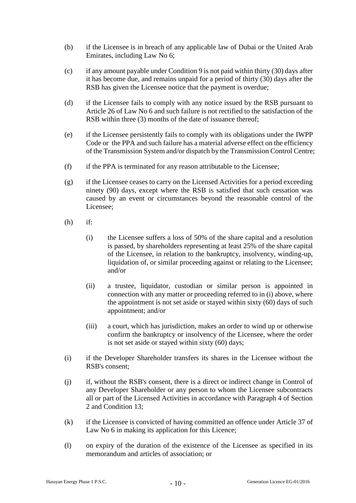- (b) if the Licensee is in breach of any applicable law of Dubai or the United Arab Emirates, including Law No 6;
- (c) if any amount payable under Condition 9 is not paid within thirty (30) days after it has become due, and remains unpaid for a period of thirty (30) days after the RSB has given the Licensee notice that the payment is overdue;
- (d) if the Licensee fails to comply with any notice issued by the RSB pursuant to Article 26 of Law No 6 and such failure is not rectified to the satisfaction of the RSB within three (3) months of the date of issuance thereof:
- (e) if the Licensee persistently fails to comply with its obligations under the IWPP Code or the PPA and such failure has a material adverse effect on the efficiency of the Transmission System and/or dispatch by the Transmission Control Centre;
- (f) if the PPA is terminated for any reason attributable to the Licensee;
- (g) if the Licensee ceases to carry on the Licensed Activities for a period exceeding ninety (90) days, except where the RSB is satisfied that such cessation was caused by an event or circumstances beyond the reasonable control of the Licensee;
- (h) if:
	- (i) the Licensee suffers a loss of 50% of the share capital and a resolution is passed, by shareholders representing at least 25% of the share capital of the Licensee, in relation to the bankruptcy, insolvency, winding-up, liquidation of, or similar proceeding against or relating to the Licensee; and/or
	- (ii) a trustee, liquidator, custodian or similar person is appointed in connection with any matter or proceeding referred to in (i) above, where the appointment is not set aside or stayed within sixty (60) days of such appointment; and/or
	- (iii) a court, which has jurisdiction, makes an order to wind up or otherwise confirm the bankruptcy or insolvency of the Licensee, where the order is not set aside or stayed within sixty (60) days;
- (i) if the Developer Shareholder transfers its shares in the Licensee without the RSB's consent;
- (j) if, without the RSB's consent, there is a direct or indirect change in Control of any Developer Shareholder or any person to whom the Licensee subcontracts all or part of the Licensed Activities in accordance with Paragraph 4 of Section 2 and Condition 13;
- (k) if the Licensee is convicted of having committed an offence under Article 37 of Law No 6 in making its application for this Licence;
- (l) on expiry of the duration of the existence of the Licensee as specified in its memorandum and articles of association; or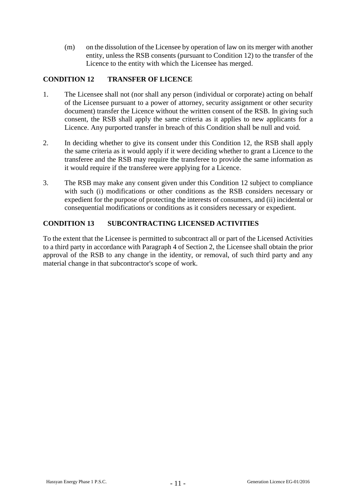(m) on the dissolution of the Licensee by operation of law on its merger with another entity, unless the RSB consents (pursuant to Condition 12) to the transfer of the Licence to the entity with which the Licensee has merged.

## **CONDITION 12 TRANSFER OF LICENCE**

- 1. The Licensee shall not (nor shall any person (individual or corporate) acting on behalf of the Licensee pursuant to a power of attorney, security assignment or other security document) transfer the Licence without the written consent of the RSB. In giving such consent, the RSB shall apply the same criteria as it applies to new applicants for a Licence. Any purported transfer in breach of this Condition shall be null and void.
- 2. In deciding whether to give its consent under this Condition 12, the RSB shall apply the same criteria as it would apply if it were deciding whether to grant a Licence to the transferee and the RSB may require the transferee to provide the same information as it would require if the transferee were applying for a Licence.
- 3. The RSB may make any consent given under this Condition 12 subject to compliance with such (i) modifications or other conditions as the RSB considers necessary or expedient for the purpose of protecting the interests of consumers, and (ii) incidental or consequential modifications or conditions as it considers necessary or expedient.

## **CONDITION 13 SUBCONTRACTING LICENSED ACTIVITIES**

To the extent that the Licensee is permitted to subcontract all or part of the Licensed Activities to a third party in accordance with Paragraph 4 of Section 2, the Licensee shall obtain the prior approval of the RSB to any change in the identity, or removal, of such third party and any material change in that subcontractor's scope of work.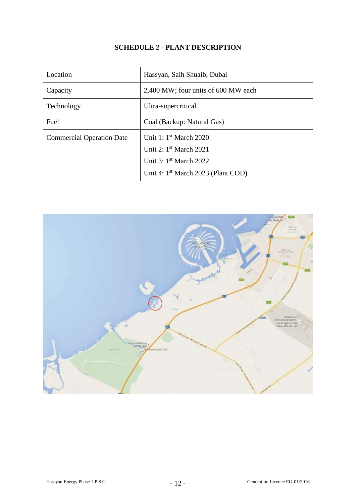## **SCHEDULE 2 - PLANT DESCRIPTION**

| Location                         | Hassyan, Saih Shuaib, Dubai                    |
|----------------------------------|------------------------------------------------|
| Capacity                         | 2,400 MW; four units of 600 MW each            |
| Technology                       | Ultra-supercritical                            |
| Fuel                             | Coal (Backup: Natural Gas)                     |
| <b>Commercial Operation Date</b> | Unit 1: 1 <sup>st</sup> March 2020             |
|                                  | Unit 2: $1st March 2021$                       |
|                                  | Unit 3: $1st$ March 2022                       |
|                                  | Unit 4: 1 <sup>st</sup> March 2023 (Plant COD) |